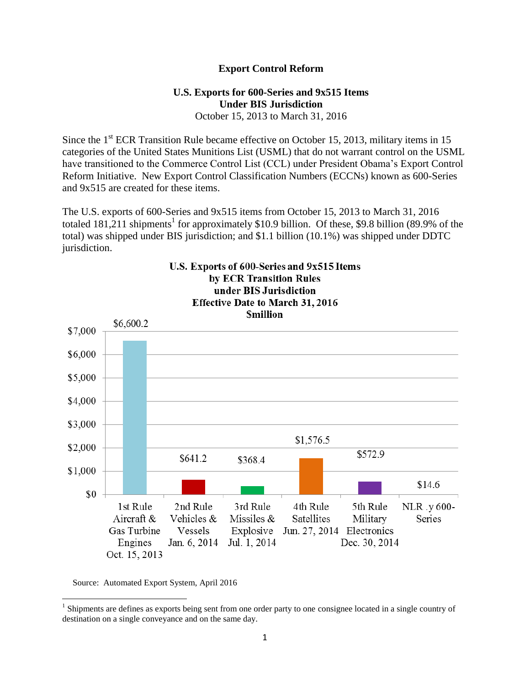## **Export Control Reform**

## **U.S. Exports for 600-Series and 9x515 Items Under BIS Jurisdiction** October 15, 2013 to March 31, 2016

Since the 1<sup>st</sup> ECR Transition Rule became effective on October 15, 2013, military items in 15 categories of the United States Munitions List (USML) that do not warrant control on the USML have transitioned to the Commerce Control List (CCL) under President Obama's Export Control Reform Initiative. New Export Control Classification Numbers (ECCNs) known as 600-Series and 9x515 are created for these items.

The U.S. exports of 600-Series and 9x515 items from October 15, 2013 to March 31, 2016 totaled 181,211 shipments<sup>1</sup> for approximately \$10.9 billion. Of these, \$9.8 billion (89.9% of the total) was shipped under BIS jurisdiction; and \$1.1 billion (10.1%) was shipped under DDTC jurisdiction.



Source: Automated Export System, April 2016

<sup>&</sup>lt;sup>1</sup> Shipments are defines as exports being sent from one order party to one consignee located in a single country of destination on a single conveyance and on the same day.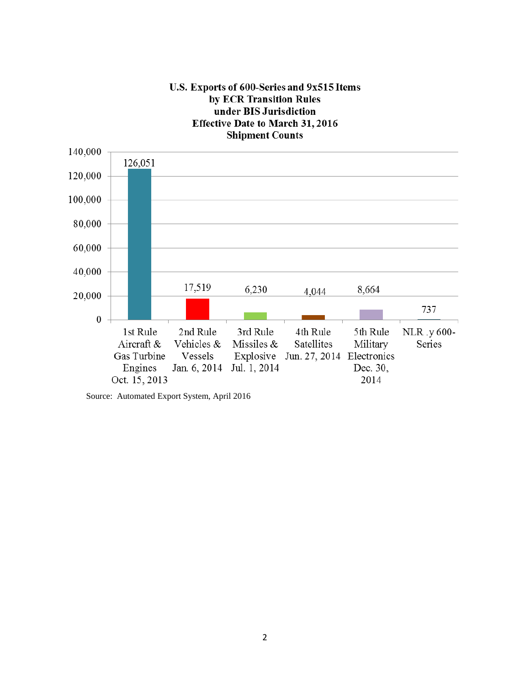

Source: Automated Export System, April 2016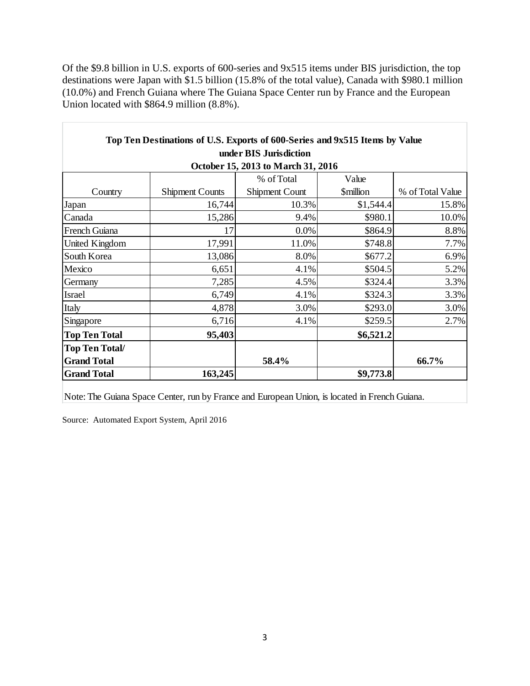Of the \$9.8 billion in U.S. exports of 600-series and 9x515 items under BIS jurisdiction, the top destinations were Japan with \$1.5 billion (15.8% of the total value), Canada with \$980.1 million (10.0%) and French Guiana where The Guiana Space Center run by France and the European Union located with \$864.9 million (8.8%).

| Top Ten Destinations of U.S. Exports of 600-Series and 9x515 Items by Value |                        |                |                               |                  |
|-----------------------------------------------------------------------------|------------------------|----------------|-------------------------------|------------------|
| under BIS Jurisdiction                                                      |                        |                |                               |                  |
| October 15, 2013 to March 31, 2016                                          |                        |                |                               |                  |
|                                                                             |                        | % of Total     | Value                         |                  |
| Country                                                                     | <b>Shipment Counts</b> | Shipment Count | <b><i><u>Smillion</u></i></b> | % of Total Value |
| Japan                                                                       | 16,744                 | 10.3%          | \$1,544.4                     | 15.8%            |
| Canada                                                                      | 15,286                 | 9.4%           | \$980.1                       | 10.0%            |
| French Guiana                                                               | 17                     | 0.0%           | \$864.9                       | 8.8%             |
| United Kingdom                                                              | 17,991                 | 11.0%          | \$748.8                       | 7.7%             |
| South Korea                                                                 | 13,086                 | 8.0%           | \$677.2                       | 6.9%             |
| Mexico                                                                      | 6,651                  | 4.1%           | \$504.5                       | 5.2%             |
| Germany                                                                     | 7,285                  | 4.5%           | \$324.4                       | 3.3%             |
| Israel                                                                      | 6,749                  | 4.1%           | \$324.3                       | 3.3%             |
| Italy                                                                       | 4,878                  | 3.0%           | \$293.0                       | 3.0%             |
| Singapore                                                                   | 6,716                  | 4.1%           | \$259.5                       | 2.7%             |
| <b>Top Ten Total</b>                                                        | 95,403                 |                | \$6,521.2                     |                  |
| <b>Top Ten Total/</b>                                                       |                        |                |                               |                  |
| <b>Grand Total</b>                                                          |                        | 58.4%          |                               | 66.7%            |
| <b>Grand Total</b>                                                          | 163,245                |                | \$9,773.8                     |                  |

Note: The Guiana Space Center, run by France and European Union, is located in French Guiana.

Source: Automated Export System, April 2016